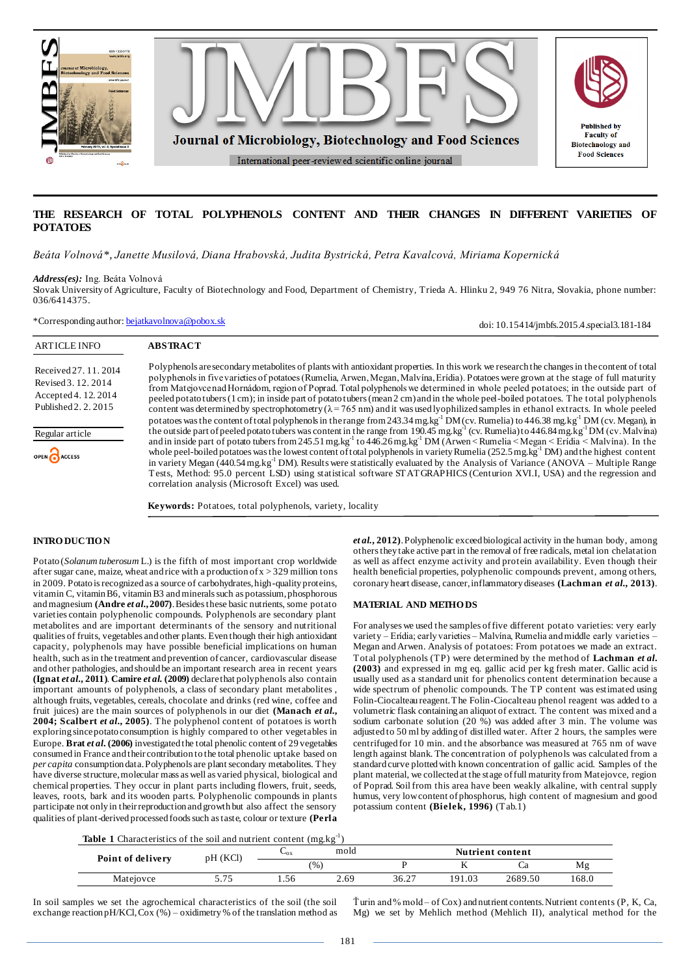

# **THE RESEARCH OF TOTAL POLYPHENOLS CONTENT AND THEIR CHANGES IN DIFFERENT VARIETIES OF POTATOES**

*Beáta Volnová\*, Janette Musilová, Diana Hrabovská, Judita Bystrická, Petra Kavalcová, Miriama Kopernická*

*Address(es):* Ing. Beáta Volnová

Slovak University of Agriculture, Faculty of Biotechnology and Food, Department of Chemistry, Trieda A. Hlinku 2, 949 76 Nitra, Slovakia, phone number: 036/6414375.

\*Corresponding author: [bejatkavolnova@pobox.sk](mailto:bejatkavolnova@pobox.sk)

doi: 10.15414/jmbfs.2015.4.special3.181-184ARTICLE INFO **ABSTRACT** Polyphenols are secondary metabolites of plants with antioxidant properties. In this work we research the changes in the content of total Received 27. 11. 2014 polyphenols in five varieties of potatoes (Rumelia, Arwen, Megan, Malvína, Erídia). Potatoes were grown at the stage of full maturity Revised 3. 12. 2014 from Matejovce nad Hornádom, region of Poprad. Total polyphenols we determined in whole peeled potatoes; in the outside part of Accepted 4. 12. 2014 peeled potato tubers (1 cm); in inside part of potato tubers (mean 2 cm) and in the whole peel-boiled potatoes. The total polyphenols Published 2. 2. 2015 content was determined by spectrophotometry ( $\lambda = 765$  nm) and it was used lyophilized samples in ethanol extracts. In whole peeled potatoes was the content of total polyphenols in the range from 243.34 mg.kg<sup>-1</sup> DM (cv. Rumelia) to 446.38 mg.kg<sup>-1</sup> DM (cv. Megan), in the outside part of peeled potato tubers was content in the range from 190.45 mg.kg<sup>-1</sup> (cv. Rumelia) to 446.84 mg.kg<sup>-1</sup>DM (cv. Malvína) Regular article and in inside part of potato tubers from 245.51 mg.kg<sup>-1</sup> to 446.26 mg.kg<sup>-1</sup> DM (Arwen < Rumelia < Megan < Erídia < Malvína). In the whole peel-boiled potatoes was the lowest content of total polyphenols in variety Rumelia (252.5 mg.kg<sup>-1</sup> DM) and the highest content OPEN CACCESS in variety Megan (440.54 mg.kg<sup>-1</sup> DM). Results were statistically evaluated by the Analysis of Variance (ANOVA – Multiple Range Tests, Method: 95.0 percent LSD) using statistical software STATGRAPHICS (Centurion XVI.I, USA) and the regression and correlation analysis (Microsoft Excel) was used. **Keywords:** Potatoes, total polyphenols, variety, locality

## **INTRO DUCTIO N**

Potato (*Solanum tuberosum* L.) is the fifth of most important crop worldwide after sugar cane, maize, wheat and rice with a production of  $x > 329$  million tons in 2009. Potato is recognized as a source of carbohydrates, high-quality proteins, vitamin C, vitamin B6, vitamin B3 and minerals such as potassium, phosphorous and magnesium **[\(Andre](http://www.sciencedirect.com/science/article/pii/S0889157513001221#bib0005)** *et al***., 2007)**. Besides these basic nutrients, some potato varieties contain polyphenolic compounds. Polyphenols are secondary plant metabolites and are important determinants of the sensory and nutritional qualities of fruits, vegetables and other plants. Even though their high antioxidant capacity, polyphenols may have possible beneficial implications on human health, such as in the treatment and prevention of cancer, cardiovascular disease and other pathologies, and should be an important research area in recent years **[\(Ignat](http://www.sciencedirect.com/science/article/pii/S030881461401406X#b0055)** *et al***., 2011)**. **[Camire](http://www.sciencedirect.com/science/article/pii/S0308814612011405#b0040)** *et al.* **(2009)** declare that polyphenols also contain important amounts of polyphenols, a class of secondary plant metabolites , although fruits, vegetables, cereals, chocolate and drinks (red wine, coffee and fruit juices) are the main sources of polyphenols in our diet **[\(Manach](http://www.sciencedirect.com/science/article/pii/S0308814612011405#b0120)** *et al***., [2004;](http://www.sciencedirect.com/science/article/pii/S0308814612011405#b0120) [Scalbert](http://www.sciencedirect.com/science/article/pii/S0308814612011405#b0140)** *et al***., 2005)**. The polyphenol content of potatoes is worth exploring since potato consumption is highly compared to other vegetables in Europe. **Brat** *et al***[. \(2006\)](http://www.sciencedirect.com/science/article/pii/S0308814612011405#b0035)** investigated the total phenolic content of 29 vegetables consumed in France and their contribution to the total phenolic uptake based on *per capita* consumption data. Polyphenols are plant secondary metabolites. They have diverse structure, molecular mass as well as varied physical, biological and chemical properties. They occur in plant parts including flowers, fruit, seeds, leaves, roots, bark and its wooden parts. Polyphenolic compounds in plants participate not only in their reproduction and growth but also affect the sensory qualities of plant-derived processed foods such as taste, colour or texture **[\(Perla](http://www.sciencedirect.com/science/article/pii/S0308814614005469#b0120)**  *et al.***[, 2012\)](http://www.sciencedirect.com/science/article/pii/S0308814614005469#b0120)**. Polyphenolic exceed biological activity in the human body, among others they take active part in the removal of free radicals, metal ion chelatation as well as affect enzyme activity and protein availability. Even though their health beneficial properties, polyphenolic compounds prevent, among others, coronary heart disease, cancer, inflammatory diseases **[\(Lachman](http://www.sciencedirect.com/science/article/pii/S0308814614005469#b0080)** *et al***., 2013)**.

### **MATERIAL AND METHO DS**

For analyses we used the samples of five different potato varieties: very early variety – Erídia; early varieties – Malvína, Rumelia and middle early varieties – Megan and Arwen. Analysis of potatoes: From potatoes we made an extract. Total polyphenols (TP) were determined by the method of **Lachman** *et al***. (2003)** and expressed in mg eq. gallic acid per kg fresh mater. Gallic acid is usually used as a standard unit for phenolics content determination because a wide spectrum of phenolic compounds. The TP content was estimated using Folin-Ciocalteau reagent. The Folin-Ciocalteau phenol reagent was added to a volumetric flask containing an aliquot of extract. The content was mixed and a sodium carbonate solution (20 %) was added after 3 min. The volume was adjusted to 50 ml by adding of distilled water. After 2 hours, the samples were centrifuged for 10 min. and the absorbance was measured at 765 nm of wave length against blank. The concentration of polyphenols was calculated from a standard curve plotted with known concentration of gallic acid. Samples of the plant material, we collected at the stage of full maturity from Matejovce, region of Poprad. Soil from this area have been weakly alkaline, with central supply humus, very low content of phosphorus, high content of magnesium and good potassium content **(Bielek, 1996)** (Tab.1)

|  |  |  | <b>Table 1</b> Characteristics of the soil and nutrient content $(mg.kg^{-1})$ |  |  |  |  |  |  |  |  |
|--|--|--|--------------------------------------------------------------------------------|--|--|--|--|--|--|--|--|
|--|--|--|--------------------------------------------------------------------------------|--|--|--|--|--|--|--|--|

| Point of delivery | pH(KCl)          | $\mathcal{L}_{\rm OX}$ | mold | <b>Nutrient content</b> |        |         |       |  |
|-------------------|------------------|------------------------|------|-------------------------|--------|---------|-------|--|
|                   |                  | $^{(0)}$               |      |                         |        | Ču      | Mg    |  |
| Matejovce         | $-75$<br>ر ، ، ر | 1.56                   | 2.69 | 36.27                   | 191.03 | 2689.50 | 168.0 |  |

In soil samples we set the agrochemical characteristics of the soil (the soil exchange reaction pH/KCl, Cox (%) – oxidimetry % of the translation method as

 $\tilde{T}$ urin and % mold – of Cox) and nutrient contents. Nutrient contents (P, K, Ca, Mg) we set by Mehlich method (Mehlich II), analytical method for the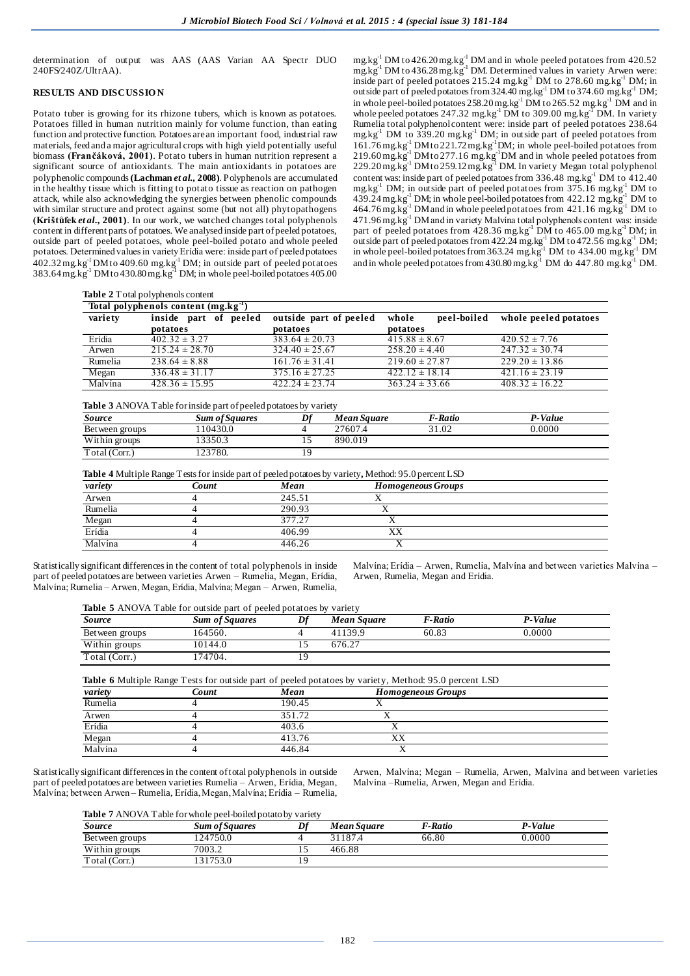determination of output was AAS (AAS Varian AA Spectr DUO 240FS/240Z/UltrAA).

#### **RESULTS AND DISCUSSIO N**

Potato tuber is growing for its rhizone tubers, which is known as potatoes. Potatoes filled in human nutrition mainly for volume function, than eating function and protective function. Potatoes are an important food, industrial raw materials, feed and a major agricultural crops with high yield potentially useful biomass **(Frančáková, 2001)**. Potato tubers in human nutrition represent a significant source of antioxidants. The main antioxidants in potatoes are polyphenolic compounds **(Lachman** *et al.,* **2008)**. Polyphenols are accumulated in the healthy tissue which is fitting to potato tissue as reaction on pathogen attack, while also acknowledging the synergies between phenolic compounds with similar structure and protect against some (but not all) phytopathogens **(Krištůfek** *et al***., 2001)**. In our work, we watched changes total polyphenols content in different parts of potatoes. We analysed inside part of peeled potatoes, outside part of peeled potatoes, whole peel-boiled potato and whole peeled potatoes. Determined values in variety Erídia were: inside part of peeled potatoes  $402.32$  mg.kg<sup>-1</sup> DM to  $409.60$  mg.kg<sup>-1</sup> DM; in outside part of peeled potatoes  $383.64$  mg.kg<sup>-1</sup> DM to  $430.80$  mg.kg<sup>-1</sup> DM; in whole peel-boiled potatoes  $405.00$ 

 $mg \log^{1}$  DM to 426.20 mg.kg<sup>-1</sup> DM and in whole peeled potatoes from 420.52  $mg.kg^{-1}$  DM to 436.28 mg. $kg^{-1}$  DM. Determined values in variety Arwen were: inside part of peeled potatoes 215.24 mg.kg<sup>-1</sup> DM to 278.60 mg.kg<sup>-1</sup> DM; in outside part of peeled potatoes from 324.40 mg.kg<sup>-1</sup> DM to 374.60 mg.kg<sup>-1</sup> DM; in whole peel-boiled potatoes  $258.20$  mg.kg<sup>-1</sup>  $\text{DM}$  to  $265.52$  mg.kg<sup>-1</sup>  $\text{DM}$  and in whole peeled potatoes 247.32 mg.kg<sup>-1</sup> DM to 309.00 mg.kg<sup>-1</sup> DM. In variety Rumelia total polyphenol content were: inside part of peeled potatoes 238.64 mg.kg $^{-1}$  DM to 339.20 mg.kg $^{-1}$  DM; in outside part of peeled potatoes from 161.76 mg.kg-1 DM to 221.72 mg.kg-1DM; in whole peel-boiled potatoes from  $219.60$  mg.kg<sup>-1</sup> DM to  $277.16$  mg.kg<sup>-1</sup>DM and in whole peeled potatoes from 229.20 mg.kg<sup>-1</sup> DM to 259.12 mg.kg<sup>-1</sup> DM. In variety Megan total polyphenol content was: inside part of peeled potatoes from  $336.48 \text{ mg} \cdot \text{kg}^{-1}$  DM to  $412.40$ mg.kg<sup>-1</sup> DM; in outside part of peeled potatoes from  $375.16$  mg.kg<sup>-1</sup> DM to  $439.24 \text{ mg} \cdot \text{kg}^{-1}$  DM; in whole peel-boiled potatoes from  $422.12 \text{ mg} \cdot \text{kg}^{-1}$  DM to  $464.76$  mg.kg<sup>-1</sup> DM and in whole peeled potatoes from  $421.16$  mg.kg<sup>-1</sup> DM to 471.96 mg.kg<sup>-1</sup> DM and in variety Malvína total polyphenols content was: inside part of peeled potatoes from  $428.36$  mg.kg<sup>-1</sup> DM to  $465.00$  mg.kg<sup>-1</sup> DM; in outside part of peeled potatoes from  $422.24$  mg.kg<sup>-1</sup> DM to  $472.56$  mg.kg<sup>-1</sup> DM; in whole peel-boiled potatoes from 363.24 mg.kg<sup>-1</sup> DM to 434.00 mg.kg<sup>-1</sup> DM and in whole peeled potatoes from  $430.80$  mg.kg<sup>-1</sup> DM do  $447.80$  mg.kg<sup>-1</sup> DM.

**Table 2** Total polyphenols content

|         | Total polyphenols content (mg.kg <sup>-1</sup> ) |                        |                      |                       |
|---------|--------------------------------------------------|------------------------|----------------------|-----------------------|
| variety | inside part of peeled                            | outside part of peeled | peel-boiled<br>whole | whole peeled potatoes |
|         | potatoes                                         | potatoes               | potatoes             |                       |
| Erídia  | $402.32 \pm 3.27$                                | $383.64 \pm 20.73$     | $415.88 \pm 8.67$    | $420.52 \pm 7.76$     |
| Arwen   | $215.24 \pm 28.70$                               | $324.40 \pm 25.67$     | $258.20 \pm 4.40$    | $247.32 \pm 30.74$    |
| Rumelia | $238.64 \pm 8.88$                                | $161.76 \pm 31.41$     | $219.60 \pm 27.87$   | $229.20 \pm 13.86$    |
| Megan   | $336.48 \pm 31.17$                               | $375.16 \pm 27.25$     | $422.12 \pm 18.14$   | $421.16 \pm 23.19$    |
| Malvína | $428.36 \pm 15.95$                               | $422.24 \pm 23.74$     | $363.24 \pm 33.66$   | $408.32 \pm 16.22$    |

**Table 3** ANOVA Table for inside part of peeled potatoes by variety

| Source          | <b>Sum of Squares</b> | Df  | Mean Sauare | <b>F-Ratio</b> | P-Value |
|-----------------|-----------------------|-----|-------------|----------------|---------|
| Bet ween groups | 110430.0              |     | 27607.4     | 31.02          | 0.0000  |
| Within groups   | 3350.3                | . . | 890.019     |                |         |
| Total (Corr.)   | 23780.                |     |             |                |         |

**Table 4** Multiple Range Tests for inside part of peeled potatoes by variety**,** Method: 95.0 percent LSD

| variety | Count | Mean   |    | <b>Homogeneous Groups</b> |
|---------|-------|--------|----|---------------------------|
| Arwen   |       | 245.51 |    |                           |
| Rumelia |       | 290.93 |    |                           |
| Megan   |       | 377.27 |    |                           |
| Erídia  |       | 406.99 | XХ |                           |
| Malvína |       | 446.26 |    |                           |

Statistically significant differencesin the content of total polyphenols in inside part of peeled potatoes are between varieties Arwen – Rumelia, Megan, Erídia, Malvína; Rumelia – Arwen, Megan, Erídia, Malvína; Megan – Arwen, Rumelia,

Malvína; Erídia – Arwen, Rumelia, Malvína and between varieties Malvína – Arwen, Rumelia, Megan and Erídia.

| Table 5 ANOVA Table for outside part of peeled potatoes by variety |
|--------------------------------------------------------------------|
|--------------------------------------------------------------------|

| Source         | <b>Sum of Squares</b> | nf | Mean Square | F-Ratio | P-Value |
|----------------|-----------------------|----|-------------|---------|---------|
| Between groups | 164560.               |    | 41139.9     | 60.83   | 0.0000  |
| Within groups  | 10144.0               |    | 676.27      |         |         |
| Total (Corr.)  | 174704.               |    |             |         |         |

| <b>Table 6</b> Multiple Range Tests for outside part of peeled potatoes by variety, Method: 95.0 percent LSD |       |        |                           |  |  |  |  |  |
|--------------------------------------------------------------------------------------------------------------|-------|--------|---------------------------|--|--|--|--|--|
| variety                                                                                                      | Count | Mean   | <b>Homogeneous Groups</b> |  |  |  |  |  |
| Rumelia                                                                                                      |       | 190.45 |                           |  |  |  |  |  |
| Arwen                                                                                                        |       | 351.72 |                           |  |  |  |  |  |
| Erídia                                                                                                       |       | 403.6  |                           |  |  |  |  |  |
| Megan                                                                                                        |       | 413.76 | XХ                        |  |  |  |  |  |
| Malvina                                                                                                      |       | 446.84 |                           |  |  |  |  |  |

Statistically significant differencesin the content of total polyphenols in outside part of peeled potatoes are between varieties Rumelia – Arwen, Erídia, Megan, Malvína; between Arwen – Rumelia, Erídia, Megan, Malvína; Erídia – Rumelia,

Arwen, Malvína; Megan – Rumelia, Arwen, Malvina and between varieties Malvína –Rumelia, Arwen, Megan and Erídia.

**Table 7** ANOVA Table for whole peel-boiled potato by variety

| Source          | <b>Sum of Squares</b> | Mean Sauare | F-Ratio | P-Value |
|-----------------|-----------------------|-------------|---------|---------|
| Bet ween groups | 124750.0              | 31187.4     | 66.80   | 0.0000  |
| Within groups   | 7003.2                | 466.88      |         |         |
| Total (Corr.)   | 131753.0              |             |         |         |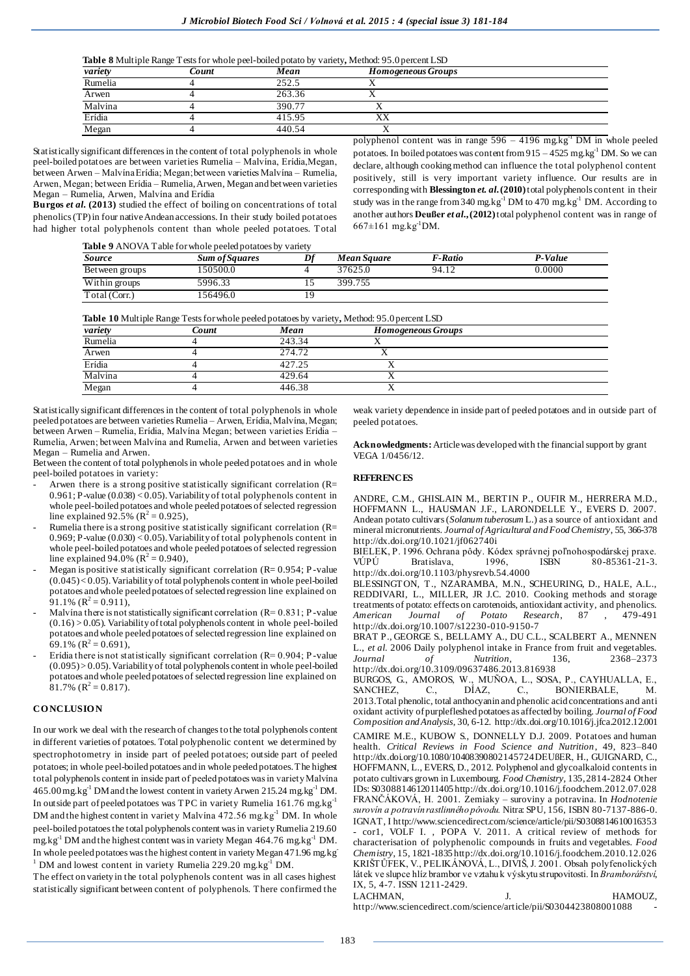**Table 8** Multiple Range Tests for whole peel-boiled potato by variety**,** Method: 95.0 percent LSD

| variety | Count | Mean   | <b>Homogeneous Groups</b> |  |
|---------|-------|--------|---------------------------|--|
| Rumelia |       | 252.5  |                           |  |
| Arwen   |       | 263.36 |                           |  |
| Malvina |       | 390.77 |                           |  |
| Erídia  |       | 415.95 | <b>TTT.</b><br>ΛΛ         |  |
| Megan   |       | 440.54 |                           |  |

Statistically significant differencesin the content of total polyphenols in whole peel-boiled potatoes are between varieties Rumelia – Malvína, Erídia,Megan, between Arwen – Malvína Erídia; Megan; between varieties Malvína – Rumelia, Arwen, Megan; between Erídia – Rumelia, Arwen, Megan and between varieties Megan – Rumelia, Arwen, Malvína and Erídia

**Burgos** *et al***. (2013)** studied the effect of boiling on concentrations of total phenolics (TP) in four native Andean accessions. In their study boiled potatoes had higher total polyphenols content than whole peeled potatoes. Total

polyphenol content was in range  $596 - 4196$  mg.kg<sup>-1</sup> DM in whole peeled potatoes. In boiled potatoes was content from  $915 - 4525$  mg.kg<sup>-1</sup> DM. So we can declare, although cooking method can influence the total polyphenol content positively, still is very important variety influence. Our results are in corresponding with **Blessington** *et. al***. (2010)** total polyphenols content in their study was in the range from 340 mg.kg<sup>-1</sup> DM to 470 mg.kg<sup>-1</sup> DM. According to another authors **[Deußer](http://www.sciencedirect.com/science/article/pii/S0308814612011405)** *et al***., (2012)**total polyphenol content was in range of  $667 \pm 161$  mg.kg<sup>-1</sup>DM.

**Table 9** ANOVA Table for whole peeled potatoes by variety

|                 | .                     |    |             |                |         |
|-----------------|-----------------------|----|-------------|----------------|---------|
| Source          | <b>Sum of Squares</b> | Df | Mean Square | <b>F-Ratio</b> | P-Value |
| Bet ween groups | 50500.0               |    | 37625.0     | 94.12          | 0.0000  |
| Within groups   | 5996.33               |    | 399.755     |                |         |
| Total (Corr.)   | 56496.0               | ١q |             |                |         |

**Table 10** Multiple Range Tests for whole peeled potatoes by variety**,** Method: 95.0 percent LSD

| variety | Count | Mean   | <b>Homogeneous Groups</b> |  |
|---------|-------|--------|---------------------------|--|
| Rumelia |       | 243.34 |                           |  |
| Arwen   |       | 274.72 |                           |  |
| Erídia  |       | 427.25 |                           |  |
| Malvina |       | 429.64 |                           |  |
| Megan   |       | 446.38 |                           |  |

Statistically significant differences in the content of total polyphenols in whole peeled potatoes are between varieties Rumelia – Arwen, Erídia, Malvína, Megan; between Arwen – Rumelia, Erídia, Malvína Megan; between varieties Erídia – Rumelia, Arwen; between Malvína and Rumelia, Arwen and between varieties Megan – Rumelia and Arwen.

Between the content of total polyphenols in whole peeled potatoes and in whole peel-boiled potatoes in variety:

- Arwen there is a strong positive statistically significant correlation  $(R=$  $0.961$ ; P-value (0.038) < 0.05). Variability of total polyphenols content in whole peel-boiled potatoes and whole peeled potatoes of selected regression line explained 92.5% ( $R^2 = 0.925$ ),
- Rumelia there is a strong positive statistically significant correlation (R= 0.969; P-value (0.030) < 0.05). Variability of total polyphenols content in whole peel-boiled potatoes and whole peeled potatoes of selected regression line explained 94.0% ( $R^2 = 0.940$ ),
- Megan is positive statistically significant correlation (R=  $0.954$ ; P-value (0.045) < 0.05). Variability of total polyphenols content in whole peel-boiled potatoes and whole peeled potatoes of selected regression line explained on 91.1%  $(R^2 = 0.911)$ ,
- Malvína there is not statistically significant correlation ( $R= 0.831$ ; P-value  $(0.16)$  > 0.05). Variability of total polyphenols content in whole peel-boiled potatoes and whole peeled potatoes of selected regression line explained on 69.1%  $(R^2 = 0.691)$ ,
- Erídia there is not statistically significant correlation ( $R= 0.904$ ; P-value (0.095) > 0.05). Variability of total polyphenols content in whole peel-boiled potatoes and whole peeled potatoes of selected regression line explained on 81.7%  $(R^2 = 0.817)$ .

#### **CO NCLUSIO N**

In our work we deal with the research of changes to the total polyphenols content in different varieties of potatoes. Total polyphenolic content we determined by spectrophotometry in inside part of peeled potatoes; outside part of peeled potatoes; in whole peel-boiled potatoes and in whole peeled potatoes. The highest total polyphenols content in inside part of peeled potatoes was in variety Malvína 465.00 mg.kg-1 DM and the lowest content in variety Arwen 215.24 mg.kg-1 DM. In outside part of peeled potatoes was TPC in variety Rumelia 161.76 mg.kg-1 DM and the highest content in variety Malvína 472.56 mg.kg<sup>-1</sup> DM. In whole peel-boiled potatoes the total polyphenols content was in variety Rumelia 219.60 mg.kg $^{-1}$  DM and the highest content was in variety Megan 464.76 mg.kg $^{-1}$  DM. In whole peeled potatoes was the highest content in variety Megan 471.96 mg.kg- $1$  DM and lowest content in variety Rumelia 229.20 mg.kg $^{-1}$  DM.

The effect on variety in the total polyphenols content was in all cases highest statistically significant between content of polyphenols. There confirmed the

weak variety dependence in inside part of peeled potatoes and in outside part of peeled potatoes.

**Acknowledgments:** Article was developed with the financial support by grant VEGA 1/0456/12.

#### **REFERENCES**

ANDRE, C.M., GHISLAIN M., BERTIN P., OUFIR M., HERRERA M.D., HOFFMANN L., HAUSMAN J.F., LARONDELLE Y., EVERS D. 2007. Andean potato cultivars (*Solanum tuberosum* L.) as a source of antioxidant and mineral micronutrients. *Journal of Agricultural and Food Chemistry*, 55, 366-378 [http://dx.doi.org/10.1021/jf06274](http://dx.doi.org/10.1021/jf062740i)0i

BIELEK, P. 1996. Ochrana pôdy. Kódex správnej poľnohospodárskej praxe. 80-85361-21-3. http://dx.doi.org/10.1103/physrevb.54.4000

BLESSINGTON, T., NZARAMBA, M.N., SCHEURING, D., HALE, A.L., REDDIVARI, L., MILLER, JR J.C. 2010. Cooking methods and storage treatments of potato: effects on carotenoids, antioxidant activity, and phenolics. *American Journal of Potato Research*, 87 , 479-491 [http://dx.doi.org/10.1007/s12230-010-915](http://dx.doi.org/10.1007/s12230-010-9150-7)0-7

BRAT P., GEORGE S., BELLAMY A., DU C.L., SCALBERT A., MENNEN L., *et al.* 2006 Daily polyphenol intake in France from fruit and vegetables. *Journal of Nutrition,* 136, 2368–2373 http://dx.doi.org/10.3109/09637486.2013.816938

BURGOS, G., AMOROS, W., MUÑOA, L., SOSA, P., CAYHUALLA, E., SANCHEZ, C., DÍAZ, C., BONIERBALE, M. BONIERBALE, M. 2013.Total phenolic, total anthocyanin and phenolic acid concentrations and anti oxidant activity ofpurplefleshed potatoes as affected by boiling. *Journal of Food Composition and Analysis*, 30, 6-1[2. http://dx.doi.org/10.1016/j.jfca.2012.12.001](http://dx.doi.org/10.1016/j.jfca.2012.12.001) CAMIRE M.E., KUBOW S., DONNELLY D.J. 2009. Potatoes and human health. *Critical Reviews in Food Science and Nutrition*, 49, 823–840 <http://dx.doi.org/10.1080/10408390802145724>DEUßE[R, H., GUIGNARD, C.,](http://www.sciencedirect.com/science/article/pii/S0308814612011405)  [HOFFMANN, L., EVERS, D., 2012.](http://www.sciencedirect.com/science/article/pii/S0308814612011405) Polyphenol and glycoalkaloid contents in potato cultivars grown in Luxembourg. *[Food Chemistry,](http://www.sciencedirect.com/science/journal/03088146)* 135, 2814-2824 Other IDs: S030881461201140[5 http://dx.doi.org/10.1016/j.foodchem.2012.07.0](http://dx.doi.org/10.1016/j.foodchem.2012.07.028)28 FRANČÁKOVÁ, H. 2001. Zemiaky – suroviny a potravina. In *Hodnotenie surovín a potravín rastlinného pôvodu.* Nitra: SPU, 156, ISBN 80-7137-886-0. IGNAT[, I http://www.sciencedirect.com/science/article/pii/S0308814610016353](http://www.sciencedirect.com/science/article/pii/S0308814610016353)  [cor1,](http://www.sciencedirect.com/science/article/pii/S0308814610016353#cor1) VOLF I., POPA [V.](http://www.sciencedirect.com/science/article/pii/S0308814610016353) 2011. A critical review of methods for characterisation of polyphenolic compounds in fruits and vegetables. *[Food](http://www.sciencedirect.com/science/journal/03088146)  [Chemistry](http://www.sciencedirect.com/science/journal/03088146)*, 15, 1821-1835 http://dx.doi.org/10.1016/j.foodchem.2010.12.026 KRIŠTŮFEK, V., PELIKÁNOVÁ, L., DIVIŠ, J. 2001. Obsah polyfenolických látek ve slupce hlíz brambor ve vztahu k výskytu strupovitosti. In *Bramborářství*, IX, 5, 4-7. ISSN 1211-2429. LACHMAN, [J. H](http://www.sciencedirect.com/science/article/pii/S0304423808001088)AMOUZ,

[http://www.sciencedirect.com/science/article/pii/S0304423808001088 -](http://www.sciencedirect.com/science/article/pii/S0304423808001088#cor1)